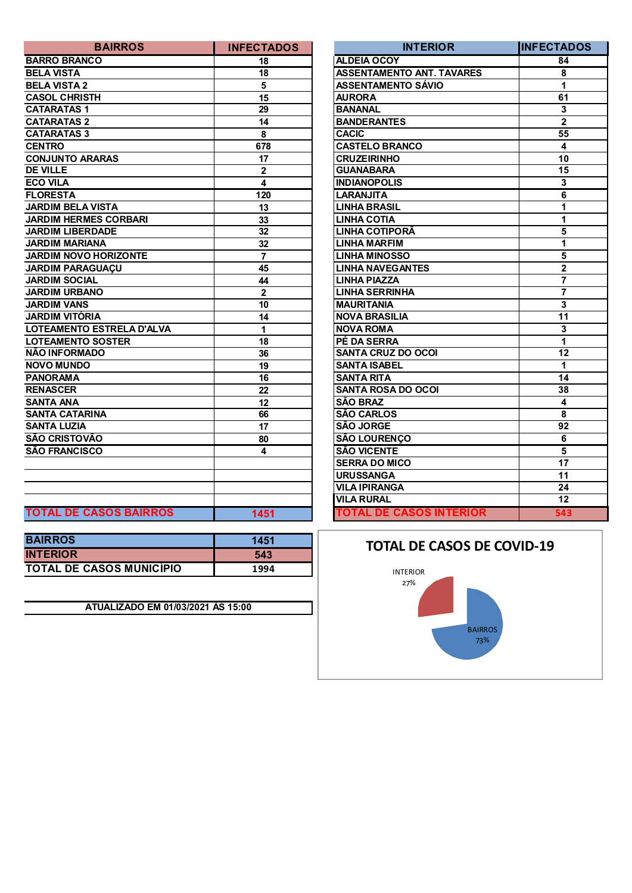| <b>BAIRROS</b>                | <b>INFECTADOS</b> | <b>INTERIOR</b>                  | <b>INFECTA</b>          |
|-------------------------------|-------------------|----------------------------------|-------------------------|
| <b>BARRO BRANCO</b>           | 18                | <b>ALDEIA OCOY</b>               | 84                      |
| <b>BELA VISTA</b>             | 18                | <b>ASSENTAMENTO ANT. TAVARES</b> | 8                       |
| <b>BELA VISTA 2</b>           | 5                 | <b>ASSENTAMENTO SÁVIO</b>        | 1                       |
| <b>CASOL CHRISTH</b>          | 15                | <b>AURORA</b>                    | 61                      |
| <b>CATARATAS1</b>             | 29                | <b>BANANAL</b>                   | 3                       |
| <b>CATARATAS 2</b>            | 14                | <b>BANDERANTES</b>               | $\overline{2}$          |
| <b>CATARATAS 3</b>            | 8                 | <b>CACIC</b>                     | 55                      |
| <b>CENTRO</b>                 | 678               | <b>CASTELO BRANCO</b>            | 4                       |
| <b>CONJUNTO ARARAS</b>        | 17                | <b>CRUZEIRINHO</b>               | 10                      |
| <b>DE VILLE</b>               | $\mathbf 2$       | <b>GUANABARA</b>                 | $\overline{15}$         |
| <b>ECO VILA</b>               | 4                 | <b>INDIANOPOLIS</b>              | $\overline{\mathbf{3}}$ |
| <b>FLORESTA</b>               | 120               | <b>LARANJITA</b>                 | $\overline{6}$          |
| <b>JARDIM BELA VISTA</b>      | 13                | <b>LINHA BRASIL</b>              | $\overline{1}$          |
| <b>JARDIM HERMES CORBARI</b>  | 33                | <b>LINHA COTIA</b>               | $\overline{1}$          |
| <b>JARDIM LIBERDADE</b>       | 32                | LINHA COTIPORÃ                   | $\overline{\mathbf{5}}$ |
| <b>JARDIM MARIANA</b>         | 32                | <b>LINHA MARFIM</b>              | 1                       |
| <b>JARDIM NOVO HORIZONTE</b>  | $\overline{7}$    | <b>LINHA MINOSSO</b>             | $\overline{\mathbf{5}}$ |
| <b>JARDIM PARAGUAÇU</b>       | 45                | <b>LINHA NAVEGANTES</b>          | $\overline{2}$          |
| <b>JARDIM SOCIAL</b>          | 44                | <b>LINHA PIAZZA</b>              | $\overline{\mathbf{7}}$ |
| <b>JARDIM URBANO</b>          | $\mathbf{2}$      | <b>LINHA SERRINHA</b>            | $\overline{\mathbf{7}}$ |
| <b>JARDIM VANS</b>            | 10                | <b>MAURITANIA</b>                | $\overline{\mathbf{3}}$ |
| <b>JARDIM VITÓRIA</b>         | 14                | <b>NOVA BRASILIA</b>             | 11                      |
| LOTEAMENTO ESTRELA D'ALVA     | 1                 | <b>NOVA ROMA</b>                 | $\mathbf{3}$            |
| <b>LOTEAMENTO SOSTER</b>      | 18                | PÉ DA SERRA                      | $\overline{1}$          |
| NÃO INFORMADO                 | 36                | <b>SANTA CRUZ DO OCOI</b>        | $\overline{12}$         |
| <b>NOVO MUNDO</b>             | 19                | <b>SANTA ISABEL</b>              | 1                       |
| <b>PANORAMA</b>               | 16                | <b>SANTA RITA</b>                | 14                      |
| <b>RENASCER</b>               | 22                | <b>SANTA ROSA DO OCOI</b>        | 38                      |
| <b>SANTA ANA</b>              | $\overline{12}$   | <b>SÃO BRAZ</b>                  | $\overline{\mathbf{4}}$ |
| <b>SANTA CATARINA</b>         | 66                | <b>SÃO CARLOS</b>                | 8                       |
| <b>SANTA LUZIA</b>            | 17                | <b>SÃO JORGE</b>                 | 92                      |
| SÃO CRISTOVÃO                 | 80                | <b>SÃO LOURENÇO</b>              | $6\phantom{1}6$         |
| <b>SÃO FRANCISCO</b>          | 4                 | <b>SÃO VICENTE</b>               | 5                       |
|                               |                   | <b>SERRA DO MICO</b>             | $\overline{17}$         |
|                               |                   | <b>URUSSANGA</b>                 | $\overline{11}$         |
|                               |                   | <b>VILA IPIRANGA</b>             | 24                      |
|                               |                   | <b>VILA RURAL</b>                | 12                      |
| <b>TOTAL DE CASOS BAIRROS</b> | 1451              | <b>TOTAL DE CASOS INTERIOR</b>   | 54                      |

| <b>BAIRROS</b>                  | 1451 |
|---------------------------------|------|
| <b>INTERIOR</b>                 | 543  |
| <b>TOTAL DE CASOS MUNICIPIO</b> | 1994 |

**ATUALIZADO EM 01/03/2021 ÀS 15:00**

| <b>BAIRROS</b>                | <b>INFECTADOS</b> | <b>INTERIOR</b>                  | <b>INFECTADOS</b> |
|-------------------------------|-------------------|----------------------------------|-------------------|
| <b>BARRO BRANCO</b>           | 18                | <b>ALDEIA OCOY</b>               | 84                |
| <b>BELA VISTA</b>             | 18                | <b>ASSENTAMENTO ANT. TAVARES</b> | 8                 |
| <b>BELA VISTA 2</b>           | 5                 | <b>ASSENTAMENTO SÁVIO</b>        | 1                 |
| <b>CASOL CHRISTH</b>          | 15                | <b>AURORA</b>                    | 61                |
| <b>CATARATAS1</b>             | 29                | <b>BANANAL</b>                   | 3                 |
| <b>CATARATAS 2</b>            | 14                | <b>BANDERANTES</b>               | $\mathbf{2}$      |
| <b>CATARATAS 3</b>            | 8                 | <b>CACIC</b>                     | $\overline{55}$   |
| <b>CENTRO</b>                 | 678               | <b>CASTELO BRANCO</b>            | 4                 |
| <b>CONJUNTO ARARAS</b>        | 17                | <b>CRUZEIRINHO</b>               | 10                |
| <b>DE VILLE</b>               | $\overline{2}$    | <b>GUANABARA</b>                 | 15                |
| ECO VILA                      | 4                 | <b>INDIANOPOLIS</b>              | 3                 |
| <b>FLORESTA</b>               | 120               | <b>LARANJITA</b>                 | 6                 |
| <b>JARDIM BELA VISTA</b>      | 13                | <b>LINHA BRASIL</b>              | 1                 |
| <b>JARDIM HERMES CORBARI</b>  | 33                | <b>LINHA COTIA</b>               | 1                 |
| <b>JARDIM LIBERDADE</b>       | 32                | <b>LINHA COTIPORÃ</b>            | 5                 |
| <b>JARDIM MARIANA</b>         | 32                | <b>LINHA MARFIM</b>              | 1                 |
| <b>JARDIM NOVO HORIZONTE</b>  | $\overline{7}$    | <b>LINHA MINOSSO</b>             | 5                 |
| <b>JARDIM PARAGUAÇU</b>       | 45                | <b>LINHA NAVEGANTES</b>          | $\mathbf{2}$      |
| <b>JARDIM SOCIAL</b>          | 44                | <b>LINHA PIAZZA</b>              | $\overline{7}$    |
| <b>JARDIM URBANO</b>          | $\overline{2}$    | <b>LINHA SERRINHA</b>            | 7                 |
| <b>JARDIM VANS</b>            | 10                | <b>MAURITANIA</b>                | 3                 |
| JARDIM VITÓRIA                | 14                | <b>NOVA BRASILIA</b>             | 11                |
| LOTEAMENTO ESTRELA D'ALVA     | 1                 | <b>NOVA ROMA</b>                 | 3                 |
| <b>LOTEAMENTO SOSTER</b>      | 18                | PÉ DA SERRA                      | $\mathbf{1}$      |
| NÃO INFORMADO                 | 36                | <b>SANTA CRUZ DO OCOI</b>        | 12                |
| <b>NOVO MUNDO</b>             | 19                | <b>SANTA ISABEL</b>              | 1                 |
| <b>PANORAMA</b>               | 16                | <b>SANTA RITA</b>                | 14                |
| <b>RENASCER</b>               | 22                | <b>SANTA ROSA DO OCOI</b>        | 38                |
| SANTA ANA                     | 12                | <b>SÃO BRAZ</b>                  | 4                 |
| <b>SANTA CATARINA</b>         | 66                | <b>SÃO CARLOS</b>                | 8                 |
| <b>SANTA LUZIA</b>            | 17                | <b>SÃO JORGE</b>                 | 92                |
| SÃO CRISTOVÃO                 | 80                | <b>SÃO LOURENÇO</b>              | 6                 |
| SÃO FRANCISCO                 | 4                 | <b>SÃO VICENTE</b>               | 5                 |
|                               |                   | <b>SERRA DO MICO</b>             | 17                |
|                               |                   | <b>URUSSANGA</b>                 | 11                |
|                               |                   | <b>VILA IPIRANGA</b>             | 24                |
|                               |                   | <b>VILA RURAL</b>                | 12                |
| <b>TOTAL DE CASOS BAIRROS</b> | 1451              | <b>TOTAL DE CASOS INTERIOR</b>   | 543               |



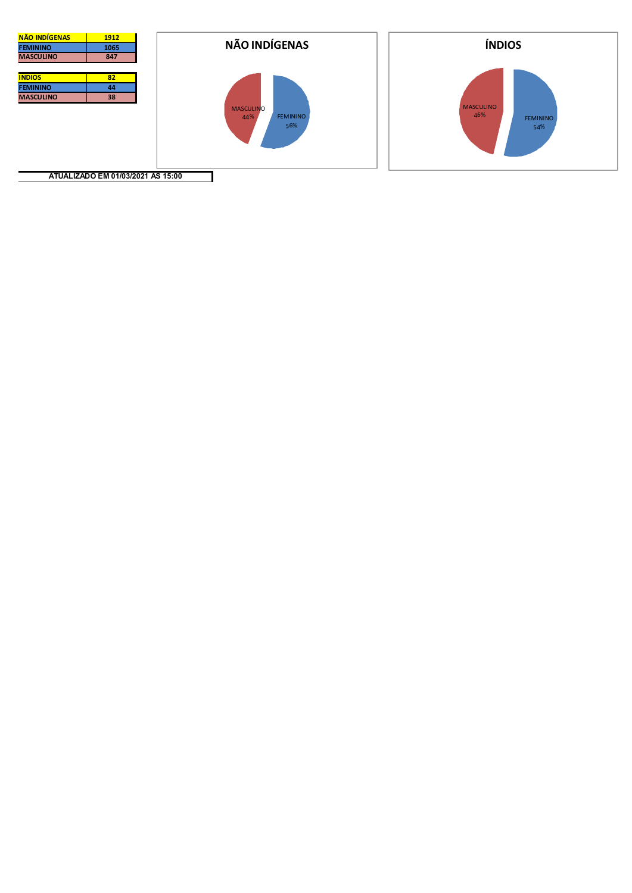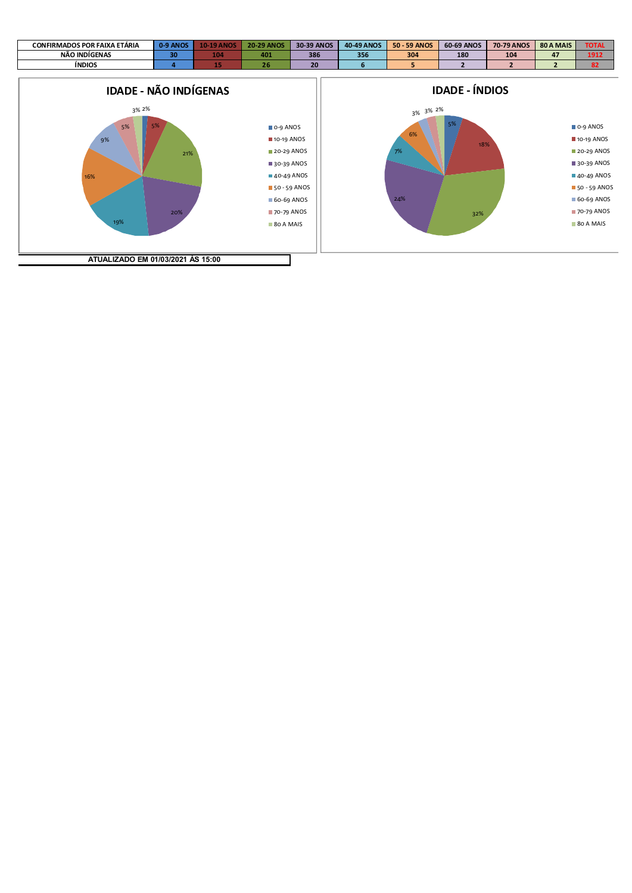| <b>CONFIRMADOS POR FAIXA</b><br>. ETÁRIA | <b>ANOS</b><br>$0 - 91$ | ιMΩ  | <b>ANOS</b><br>$20 - 29$ | 30-39 ANOS | <b>40-49 ANOS</b> | $50 -$<br>59 ANOS | <b>60-69 ANOS</b> | 70-79 ANOS | 80 A MAIS | <b>TOTA</b> |
|------------------------------------------|-------------------------|------|--------------------------|------------|-------------------|-------------------|-------------------|------------|-----------|-------------|
| NÃO INDÍGENAS                            | 30                      | سوري |                          | 386        | 200<br>ວວເ        | 304               | 180               | 104        | .,        | 1917        |
| <b>INDIOS</b>                            |                         |      |                          |            |                   |                   |                   |            |           | 82          |

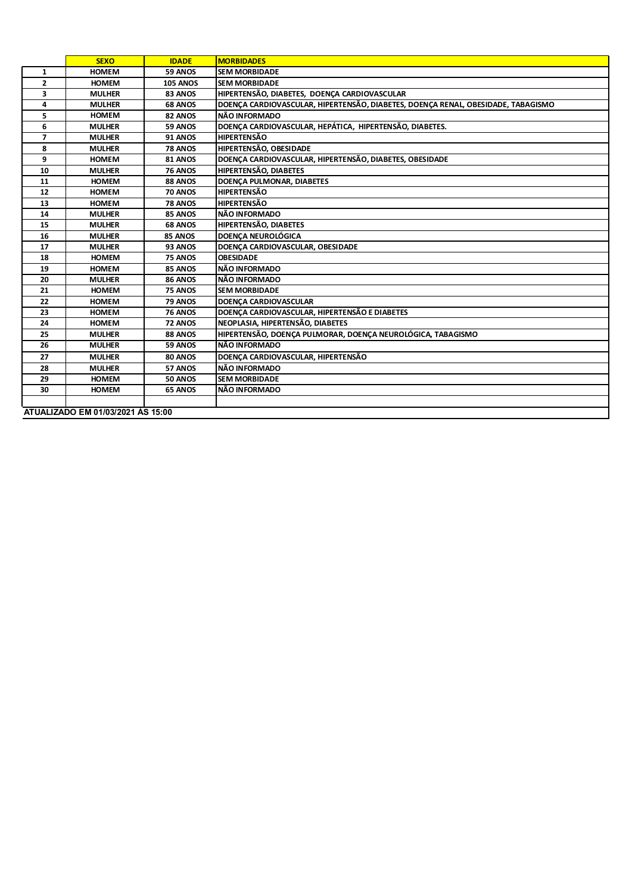|                | <b>SEXO</b>                       | <b>IDADE</b>    | <b>MORBIDADES</b>                                                                |
|----------------|-----------------------------------|-----------------|----------------------------------------------------------------------------------|
| $\mathbf{1}$   | <b>HOMEM</b>                      | 59 ANOS         | <b>SEM MORBIDADE</b>                                                             |
| $\mathbf{z}$   | <b>HOMEM</b>                      | <b>105 ANOS</b> | <b>SEM MORBIDADE</b>                                                             |
| 3              | <b>MULHER</b>                     | 83 ANOS         | HIPERTENSÃO, DIABETES, DOENÇA CARDIOVASCULAR                                     |
| 4              | <b>MULHER</b>                     | 68 ANOS         | DOENÇA CARDIOVASCULAR, HIPERTENSÃO, DIABETES, DOENÇA RENAL, OBESIDADE, TABAGISMO |
| 5.             | <b>HOMEM</b>                      | 82 ANOS         | NÃO INFORMADO                                                                    |
| 6              | <b>MULHER</b>                     | 59 ANOS         | DOENÇA CARDIOVASCULAR, HEPÁTICA, HIPERTENSÃO, DIABETES.                          |
| $\overline{ }$ | <b>MULHER</b>                     | 91 ANOS         | <b>HIPERTENSÃO</b>                                                               |
| 8              | <b>MULHER</b>                     | <b>78 ANOS</b>  | HIPERTENSÃO, OBESIDADE                                                           |
| 9              | <b>HOMEM</b>                      | 81 ANOS         | DOENÇA CARDIOVASCULAR, HIPERTENSÃO, DIABETES, OBESIDADE                          |
| 10             | <b>MULHER</b>                     | <b>76 ANOS</b>  | <b>HIPERTENSÃO, DIABETES</b>                                                     |
| 11             | <b>HOMEM</b>                      | 88 ANOS         | DOENÇA PULMONAR, DIABETES                                                        |
| 12             | <b>HOMEM</b>                      | <b>70 ANOS</b>  | <b>HIPERTENSÃO</b>                                                               |
| 13             | <b>HOMEM</b>                      | <b>78 ANOS</b>  | <b>HIPERTENSÃO</b>                                                               |
| 14             | <b>MULHER</b>                     | 85 ANOS         | NÃO INFORMADO                                                                    |
| 15             | <b>MULHER</b>                     | 68 ANOS         | HIPERTENSÃO, DIABETES                                                            |
| 16             | <b>MULHER</b>                     | 85 ANOS         | <b>DOENCA NEUROLÓGICA</b>                                                        |
| 17             | <b>MULHER</b>                     | 93 ANOS         | DOENCA CARDIOVASCULAR, OBESIDADE                                                 |
| 18             | <b>HOMEM</b>                      | 75 ANOS         | <b>OBESIDADE</b>                                                                 |
| 19             | <b>HOMEM</b>                      | 85 ANOS         | NÃO INFORMADO                                                                    |
| 20             | <b>MULHER</b>                     | 86 ANOS         | NÃO INFORMADO                                                                    |
| 21             | <b>HOMEM</b>                      | 75 ANOS         | <b>SEM MORBIDADE</b>                                                             |
| 22             | <b>HOMEM</b>                      | 79 ANOS         | <b>DOENCA CARDIOVASCULAR</b>                                                     |
| 23             | <b>HOMEM</b>                      | <b>76 ANOS</b>  | DOENÇA CARDIOVASCULAR, HIPERTENSÃO E DIABETES                                    |
| 24             | <b>HOMEM</b>                      | 72 ANOS         | NEOPLASIA, HIPERTENSÃO, DIABETES                                                 |
| 25             | <b>MULHER</b>                     | 88 ANOS         | HIPERTENSÃO, DOENÇA PULMORAR, DOENÇA NEUROLÓGICA, TABAGISMO                      |
| 26             | <b>MULHER</b>                     | 59 ANOS         | NÃO INFORMADO                                                                    |
| 27             | <b>MULHER</b>                     | 80 ANOS         | DOENÇA CARDIOVASCULAR, HIPERTENSÃO                                               |
| 28             | <b>MULHER</b>                     | 57 ANOS         | NÃO INFORMADO                                                                    |
| 29             | <b>HOMEM</b>                      | <b>50 ANOS</b>  | <b>SEM MORBIDADE</b>                                                             |
| 30             | <b>HOMEM</b>                      | 65 ANOS         | NÃO INFORMADO                                                                    |
|                |                                   |                 |                                                                                  |
|                | ATUALIZADO EM 01/03/2021 ÀS 15:00 |                 |                                                                                  |